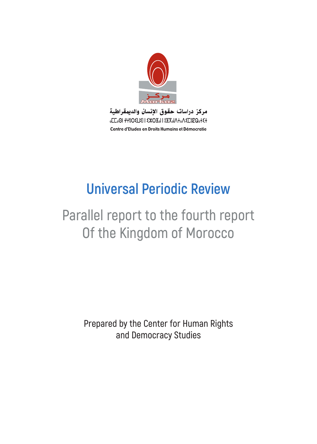

مركز دراسات حقوق الإنسان والديمقراطية **CLOOI +Y8OELEI | EXOHOI | 8HXoIA+0AEL8EQo+E+** Centre d'Etudes en Droits Humains et Démocratie

# **Universal Periodic Review**

# **Parallel report to the fourth report Of the Kingdom of Morocco**

**Prepared by the Center for Human Rights and Democracy Studies**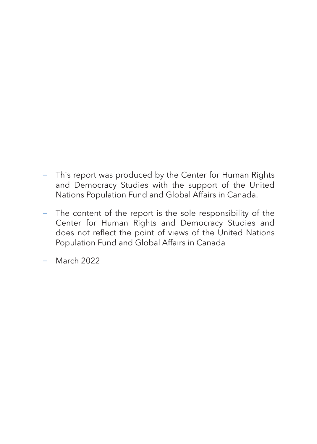- − This report was produced by the Center for Human Rights and Democracy Studies with the support of the United Nations Population Fund and Global Affairs in Canada.
- − The content of the report is the sole responsibility of the Center for Human Rights and Democracy Studies and does not reflect the point of views of the United Nations Population Fund and Global Affairs in Canada

<sup>−</sup> March 2022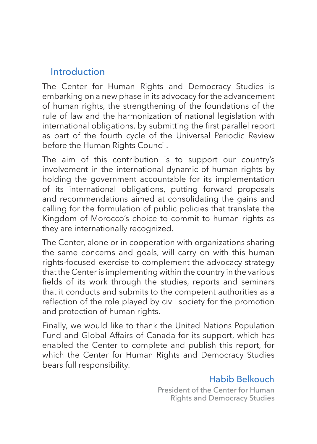## Introduction

The Center for Human Rights and Democracy Studies is embarking on a new phase in its advocacy for the advancement of human rights, the strengthening of the foundations of the rule of law and the harmonization of national legislation with international obligations, by submitting the first parallel report as part of the fourth cycle of the Universal Periodic Review before the Human Rights Council.

The aim of this contribution is to support our country's involvement in the international dynamic of human rights by holding the government accountable for its implementation of its international obligations, putting forward proposals and recommendations aimed at consolidating the gains and calling for the formulation of public policies that translate the Kingdom of Morocco's choice to commit to human rights as they are internationally recognized.

The Center, alone or in cooperation with organizations sharing the same concerns and goals, will carry on with this human rights-focused exercise to complement the advocacy strategy that the Center is implementing within the country in the various fields of its work through the studies, reports and seminars that it conducts and submits to the competent authorities as a reflection of the role played by civil society for the promotion and protection of human rights.

Finally, we would like to thank the United Nations Population Fund and Global Affairs of Canada for its support, which has enabled the Center to complete and publish this report, for which the Center for Human Rights and Democracy Studies bears full responsibility.

#### Habib Belkouch

President of the Center for Human Rights and Democracy Studies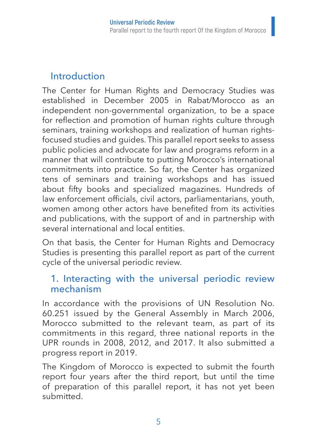## Introduction

The Center for Human Rights and Democracy Studies was established in December 2005 in Rabat/Morocco as an independent non-governmental organization, to be a space for reflection and promotion of human rights culture through seminars, training workshops and realization of human rightsfocused studies and guides. This parallel report seeks to assess public policies and advocate for law and programs reform in a manner that will contribute to putting Morocco's international commitments into practice. So far, the Center has organized tens of seminars and training workshops and has issued about fifty books and specialized magazines. Hundreds of law enforcement officials, civil actors, parliamentarians, youth, women among other actors have benefited from its activities and publications, with the support of and in partnership with several international and local entities.

On that basis, the Center for Human Rights and Democracy Studies is presenting this parallel report as part of the current cycle of the universal periodic review.

## 1. Interacting with the universal periodic review mechanism

In accordance with the provisions of UN Resolution No. 60.251 issued by the General Assembly in March 2006, Morocco submitted to the relevant team, as part of its commitments in this regard, three national reports in the UPR rounds in 2008, 2012, and 2017. It also submitted a progress report in 2019.

The Kingdom of Morocco is expected to submit the fourth report four years after the third report, but until the time of preparation of this parallel report, it has not yet been submitted.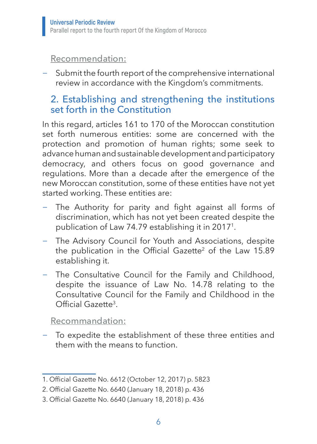#### Recommendation:

Submit the fourth report of the comprehensive international review in accordance with the Kingdom's commitments.

## 2. Establishing and strengthening the institutions set forth in the Constitution

In this regard, articles 161 to 170 of the Moroccan constitution set forth numerous entities: some are concerned with the protection and promotion of human rights; some seek to advance human and sustainable development and participatory democracy, and others focus on good governance and regulations. More than a decade after the emergence of the new Moroccan constitution, some of these entities have not yet started working. These entities are:

- The Authority for parity and fight against all forms of discrimination, which has not yet been created despite the publication of Law 74.79 establishing it in 20171.
- − The Advisory Council for Youth and Associations, despite the publication in the Official Gazette<sup>2</sup> of the Law 15.89 establishing it.
- − The Consultative Council for the Family and Childhood, despite the issuance of Law No. 14.78 relating to the Consultative Council for the Family and Childhood in the Official Gazette3.

#### Recommandation:

− To expedite the establishment of these three entities and them with the means to function.

<sup>1</sup>. Official Gazette No. 6612 (October 12, 2017) p. 5823

<sup>2</sup>. Official Gazette No. 6640 (January 18, 2018) p. 436

<sup>3</sup>. Official Gazette No. 6640 (January 18, 2018) p. 436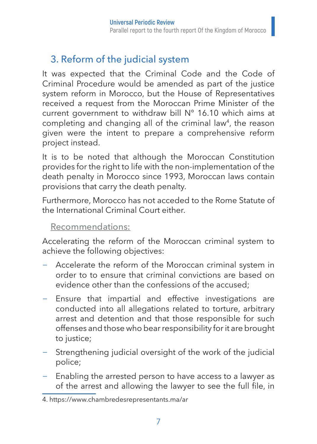# 3. Reform of the judicial system

It was expected that the Criminal Code and the Code of Criminal Procedure would be amended as part of the justice system reform in Morocco, but the House of Representatives received a request from the Moroccan Prime Minister of the current government to withdraw bill N° 16.10 which aims at completing and changing all of the criminal law<sup>4</sup>, the reason given were the intent to prepare a comprehensive reform project instead.

It is to be noted that although the Moroccan Constitution provides for the right to life with the non-implementation of the death penalty in Morocco since 1993, Moroccan laws contain provisions that carry the death penalty.

Furthermore, Morocco has not acceded to the Rome Statute of the International Criminal Court either.

#### Recommendations:

Accelerating the reform of the Moroccan criminal system to achieve the following objectives:

- − Accelerate the reform of the Moroccan criminal system in order to to ensure that criminal convictions are based on evidence other than the confessions of the accused;
- − Ensure that impartial and effective investigations are conducted into all allegations related to torture, arbitrary arrest and detention and that those responsible for such offenses and those who bear responsibility for it are brought to justice;
- Strengthening judicial oversight of the work of the judicial police;
- Enabling the arrested person to have access to a lawyer as of the arrest and allowing the lawyer to see the full file, in

<sup>4.</sup> https://www.chambredesrepresentants.ma/ar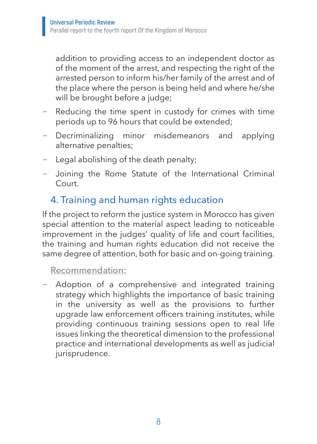addition to providing access to an independent doctor as of the moment of the arrest, and respecting the right of the arrested person to inform his/her family of the arrest and of the place where the person is being held and where he/she will be brought before a judge;

- − Reducing the time spent in custody for crimes with time periods up to 96 hours that could be extended;
- − Decriminalizing minor misdemeanors and applying alternative penalties;
- − Legal abolishing of the death penalty;
- − Joining the Rome Statute of the International Criminal Court.

## 4. Training and human rights education

If the project to reform the justice system in Morocco has given special attention to the material aspect leading to noticeable improvement in the judges' quality of life and court facilities, the training and human rights education did not receive the same degree of attention, both for basic and on-going training.

Recommendation:

− Adoption of a comprehensive and integrated training strategy which highlights the importance of basic training in the university as well as the provisions to further upgrade law enforcement officers training institutes, while providing continuous training sessions open to real life issues linking the theoretical dimension to the professional practice and international developments as well as judicial jurisprudence.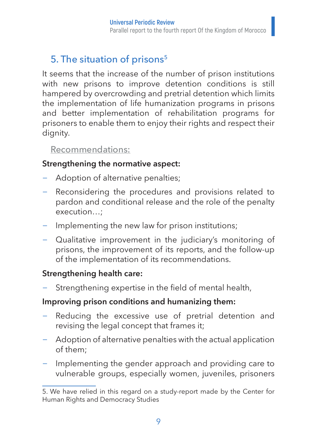# 5. The situation of prisons<sup>5</sup>

It seems that the increase of the number of prison institutions with new prisons to improve detention conditions is still hampered by overcrowding and pretrial detention which limits the implementation of life humanization programs in prisons and better implementation of rehabilitation programs for prisoners to enable them to enjoy their rights and respect their dignity.

#### Recommendations:

#### **Strengthening the normative aspect:**

- − Adoption of alternative penalties;
- − Reconsidering the procedures and provisions related to pardon and conditional release and the role of the penalty execution…;
- − Implementing the new law for prison institutions;
- − Qualitative improvement in the judiciary's monitoring of prisons, the improvement of its reports, and the follow-up of the implementation of its recommendations.

#### **Strengthening health care:**

Strengthening expertise in the field of mental health,

#### **Improving prison conditions and humanizing them:**

- Reducing the excessive use of pretrial detention and revising the legal concept that frames it;
- − Adoption of alternative penalties with the actual application of them;
- Implementing the gender approach and providing care to vulnerable groups, especially women, juveniles, prisoners

<sup>5.</sup> We have relied in this regard on a study-report made by the Center for Human Rights and Democracy Studies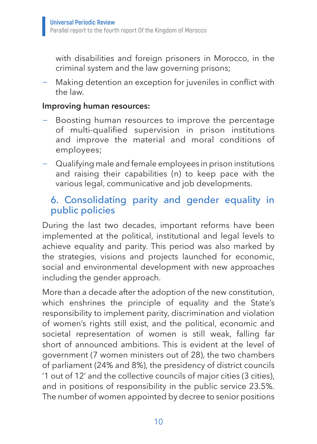with disabilities and foreign prisoners in Morocco, in the criminal system and the law governing prisons;

− Making detention an exception for juveniles in conflict with the law.

#### **Improving human resources:**

- Boosting human resources to improve the percentage of multi-qualified supervision in prison institutions and improve the material and moral conditions of employees;
- − Qualifying male and female employees in prison institutions and raising their capabilities (n) to keep pace with the various legal, communicative and job developments.

## 6. Consolidating parity and gender equality in public policies

During the last two decades, important reforms have been implemented at the political, institutional and legal levels to achieve equality and parity. This period was also marked by the strategies, visions and projects launched for economic, social and environmental development with new approaches including the gender approach.

More than a decade after the adoption of the new constitution, which enshrines the principle of equality and the State's responsibility to implement parity, discrimination and violation of women's rights still exist, and the political, economic and societal representation of women is still weak, falling far short of announced ambitions. This is evident at the level of government (7 women ministers out of 28), the two chambers of parliament (24% and 8%), the presidency of district councils '1 out of 12' and the collective councils of major cities (3 cities), and in positions of responsibility in the public service 23.5%. The number of women appointed by decree to senior positions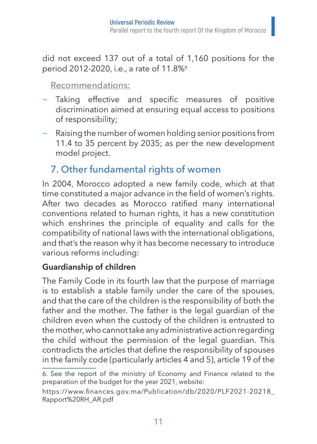did not exceed 137 out of a total of 1,160 positions for the period 2012-2020, i.e., a rate of 11.8%<sup>6</sup>

### Recommendations:

- − Taking effective and specific measures of positive discrimination aimed at ensuring equal access to positions of responsibility;
- − Raising the number of women holding senior positions from 11.4 to 35 percent by 2035; as per the new development model project.

# 7. Other fundamental rights of women

In 2004, Morocco adopted a new family code, which at that time constituted a major advance in the field of women's rights. After two decades as Morocco ratified many international conventions related to human rights, it has a new constitution which enshrines the principle of equality and calls for the compatibility of national laws with the international obligations, and that's the reason why it has become necessary to introduce various reforms including:

#### **Guardianship of children**

The Family Code in its fourth law that the purpose of marriage is to establish a stable family under the care of the spouses, and that the care of the children is the responsibility of both the father and the mother. The father is the legal guardian of the children even when the custody of the children is entrusted to the mother, who cannot take any administrative action regarding the child without the permission of the legal guardian. This contradicts the articles that define the responsibility of spouses in the family code (particularly articles 4 and 5), article 19 of the

<sup>6.</sup> See the report of the ministry of Economy and Finance related to the preparation of the budget for the year 2021, website:

https://www.finances.gov.ma/Publication/db/2020/PLF2021-20218\_ Rapport%20RH\_AR.pdf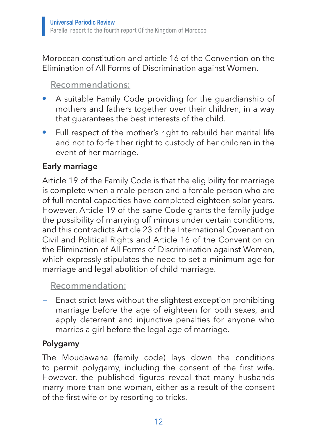Moroccan constitution and article 16 of the Convention on the Elimination of All Forms of Discrimination against Women.

### Recommendations:

- A suitable Family Code providing for the guardianship of mothers and fathers together over their children, in a way that guarantees the best interests of the child.
- Full respect of the mother's right to rebuild her marital life and not to forfeit her right to custody of her children in the event of her marriage.

### **Early marriage**

Article 19 of the Family Code is that the eligibility for marriage is complete when a male person and a female person who are of full mental capacities have completed eighteen solar years. However, Article 19 of the same Code grants the family judge the possibility of marrying off minors under certain conditions, and this contradicts Article 23 of the International Covenant on Civil and Political Rights and Article 16 of the Convention on the Elimination of All Forms of Discrimination against Women, which expressly stipulates the need to set a minimum age for marriage and legal abolition of child marriage.

#### Recommendation:

− Enact strict laws without the slightest exception prohibiting marriage before the age of eighteen for both sexes, and apply deterrent and injunctive penalties for anyone who marries a girl before the legal age of marriage.

#### **Polygamy**

The Moudawana (family code) lays down the conditions to permit polygamy, including the consent of the first wife. However, the published figures reveal that many husbands marry more than one woman, either as a result of the consent of the first wife or by resorting to tricks.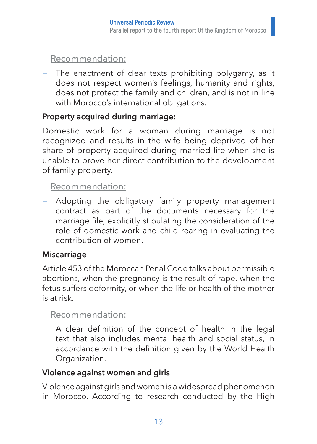### Recommendation:

The enactment of clear texts prohibiting polygamy, as it does not respect women's feelings, humanity and rights, does not protect the family and children, and is not in line with Morocco's international obligations.

## **Property acquired during marriage:**

Domestic work for a woman during marriage is not recognized and results in the wife being deprived of her share of property acquired during married life when she is unable to prove her direct contribution to the development of family property.

### Recommendation:

− Adopting the obligatory family property management contract as part of the documents necessary for the marriage file, explicitly stipulating the consideration of the role of domestic work and child rearing in evaluating the contribution of women.

#### **Miscarriage**

Article 453 of the Moroccan Penal Code talks about permissible abortions, when the pregnancy is the result of rape, when the fetus suffers deformity, or when the life or health of the mother is at risk.

## Recommendation:

A clear definition of the concept of health in the legal text that also includes mental health and social status, in accordance with the definition given by the World Health Organization.

## **Violence against women and girls**

Violence against girls and women is a widespread phenomenon in Morocco. According to research conducted by the High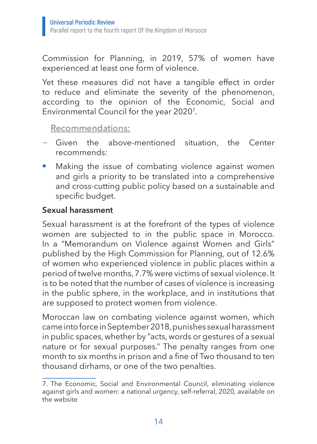Commission for Planning, in 2019, 57% of women have experienced at least one form of violence.

Yet these measures did not have a tangible effect in order to reduce and eliminate the severity of the phenomenon, according to the opinion of the Economic, Social and Environmental Council for the year 20207.

#### Recommendations:

- − Given the above-mentioned situation, the Center recommends:
- Making the issue of combating violence against women and girls a priority to be translated into a comprehensive and cross-cutting public policy based on a sustainable and specific budget.

#### **Sexual harassment**

Sexual harassment is at the forefront of the types of violence women are subjected to in the public space in Morocco. In a "Memorandum on Violence against Women and Girls" published by the High Commission for Planning, out of 12.6% of women who experienced violence in public places within a period of twelve months, 7.7% were victims of sexual violence. It is to be noted that the number of cases of violence is increasing in the public sphere, in the workplace, and in institutions that are supposed to protect women from violence.

Moroccan law on combating violence against women, which came into force in September 2018, punishes sexual harassment in public spaces, whether by "acts, words or gestures of a sexual nature or for sexual purposes." The penalty ranges from one month to six months in prison and a fine of Two thousand to ten thousand dirhams, or one of the two penalties.

<sup>7.</sup> The Economic, Social and Environmental Council, eliminating violence against girls and women: a national urgency, self-referral, 2020, available on the website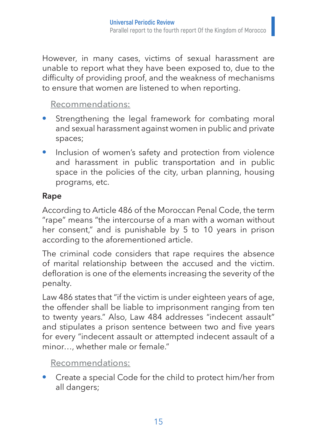However, in many cases, victims of sexual harassment are unable to report what they have been exposed to, due to the difficulty of providing proof, and the weakness of mechanisms to ensure that women are listened to when reporting.

## Recommendations:

- Strengthening the legal framework for combating moral and sexual harassment against women in public and private spaces;
- Inclusion of women's safety and protection from violence and harassment in public transportation and in public space in the policies of the city, urban planning, housing programs, etc.

#### **Rape**

According to Article 486 of the Moroccan Penal Code, the term "rape" means "the intercourse of a man with a woman without her consent," and is punishable by 5 to 10 years in prison according to the aforementioned article.

The criminal code considers that rape requires the absence of marital relationship between the accused and the victim. defloration is one of the elements increasing the severity of the penalty.

Law 486 states that "if the victim is under eighteen years of age, the offender shall be liable to imprisonment ranging from ten to twenty years." Also, Law 484 addresses "indecent assault" and stipulates a prison sentence between two and five years for every "indecent assault or attempted indecent assault of a minor…, whether male or female."

#### Recommendations:

• Create a special Code for the child to protect him/her from all dangers;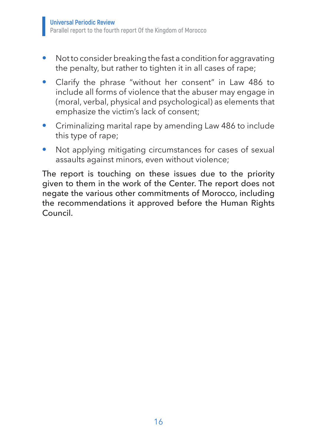- Not to consider breaking the fast a condition for aggravating the penalty, but rather to tighten it in all cases of rape;
- Clarify the phrase "without her consent" in Law 486 to include all forms of violence that the abuser may engage in (moral, verbal, physical and psychological) as elements that emphasize the victim's lack of consent;
- Criminalizing marital rape by amending Law 486 to include this type of rape;
- Not applying mitigating circumstances for cases of sexual assaults against minors, even without violence;

The report is touching on these issues due to the priority given to them in the work of the Center. The report does not negate the various other commitments of Morocco, including the recommendations it approved before the Human Rights Council.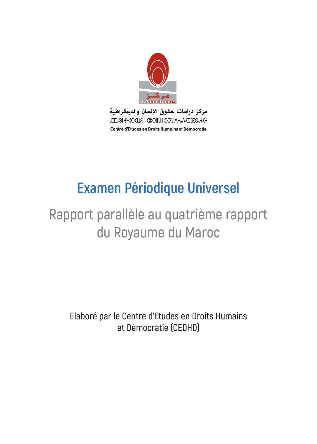

مركز دراسات حقوق الإنسان والديمقراطية **GELGOI +Y8OELIEI | EXOIGI | 8HXGIA+0AEE8EQ0+E+** Centre d'Etudes en Droits Humains et Démocratie

# **Examen Périodique Universel**

# **Rapport parallèle au quatrième rapport du Royaume du Maroc**

**Elaboré par le Centre d'Etudes en Droits Humains et Démocratie (CEDHD)**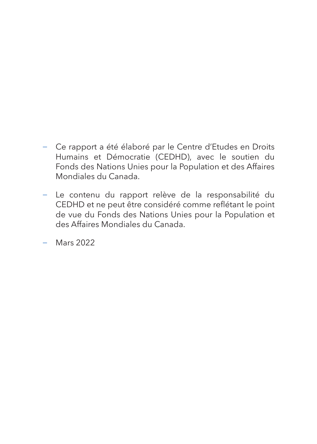- − Ce rapport a été élaboré par le Centre d'Etudes en Droits Humains et Démocratie (CEDHD), avec le soutien du Fonds des Nations Unies pour la Population et des Affaires Mondiales du Canada.
- − Le contenu du rapport relève de la responsabilité du CEDHD et ne peut être considéré comme reflétant le point de vue du Fonds des Nations Unies pour la Population et des Affaires Mondiales du Canada.

− Mars 2022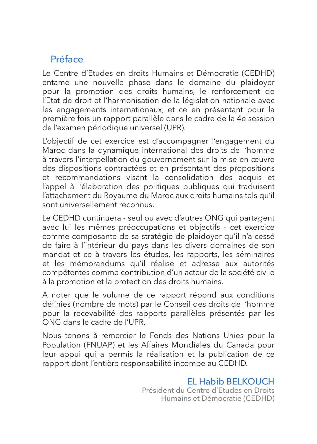# Préface

Le Centre d'Etudes en droits Humains et Démocratie (CEDHD) entame une nouvelle phase dans le domaine du plaidoyer pour la promotion des droits humains, le renforcement de l'Etat de droit et l'harmonisation de la législation nationale avec les engagements internationaux, et ce en présentant pour la première fois un rapport parallèle dans le cadre de la 4e session de l'examen périodique universel (UPR).

L'objectif de cet exercice est d'accompagner l'engagement du Maroc dans la dynamique international des droits de l'homme à travers l'interpellation du gouvernement sur la mise en œuvre des dispositions contractées et en présentant des propositions et recommandations visant la consolidation des acquis et l'appel à l'élaboration des politiques publiques qui traduisent l'attachement du Royaume du Maroc aux droits humains tels qu'il sont universellement reconnus.

Le CEDHD continuera - seul ou avec d'autres ONG qui partagent avec lui les mêmes préoccupations et objectifs - cet exercice comme composante de sa stratégie de plaidoyer qu'il n'a cessé de faire à l'intérieur du pays dans les divers domaines de son mandat et ce à travers les études, les rapports, les séminaires et les mémorandums qu'il réalise et adresse aux autorités compétentes comme contribution d'un acteur de la société civile à la promotion et la protection des droits humains.

A noter que le volume de ce rapport répond aux conditions définies (nombre de mots) par le Conseil des droits de l'homme pour la recevabilité des rapports parallèles présentés par les ONG dans le cadre de l'UPR.

Nous tenons à remercier le Fonds des Nations Unies pour la Population (FNUAP) et les Affaires Mondiales du Canada pour leur appui qui a permis la réalisation et la publication de ce rapport dont l'entière responsabilité incombe au CEDHD.

> EL Habib BELKOUCH Président du Centre d'Etudes en Droits Humains et Démocratie (CEDHD)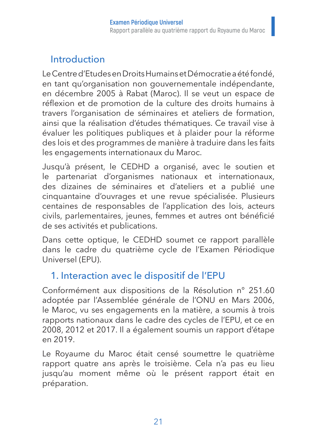## Introduction

Le Centre d'Etudes en Droits Humains et Démocratie a été fondé, en tant qu'organisation non gouvernementale indépendante, en décembre 2005 à Rabat (Maroc). Il se veut un espace de réflexion et de promotion de la culture des droits humains à travers l'organisation de séminaires et ateliers de formation, ainsi que la réalisation d'études thématiques. Ce travail vise à évaluer les politiques publiques et à plaider pour la réforme des lois et des programmes de manière à traduire dans les faits les engagements internationaux du Maroc.

Jusqu'à présent, le CEDHD a organisé, avec le soutien et le partenariat d'organismes nationaux et internationaux, des dizaines de séminaires et d'ateliers et a publié une cinquantaine d'ouvrages et une revue spécialisée. Plusieurs centaines de responsables de l'application des lois, acteurs civils, parlementaires, jeunes, femmes et autres ont bénéficié de ses activités et publications.

Dans cette optique, le CEDHD soumet ce rapport parallèle dans le cadre du quatrième cycle de l'Examen Périodique Universel (EPU).

## 1. Interaction avec le dispositif de l'EPU

Conformément aux dispositions de la Résolution n° 251.60 adoptée par l'Assemblée générale de l'ONU en Mars 2006, le Maroc, vu ses engagements en la matière, a soumis à trois rapports nationaux dans le cadre des cycles de l'EPU, et ce en 2008, 2012 et 2017. Il a également soumis un rapport d'étape en 2019.

Le Royaume du Maroc était censé soumettre le quatrième rapport quatre ans après le troisième. Cela n'a pas eu lieu jusqu'au moment même où le présent rapport était en préparation.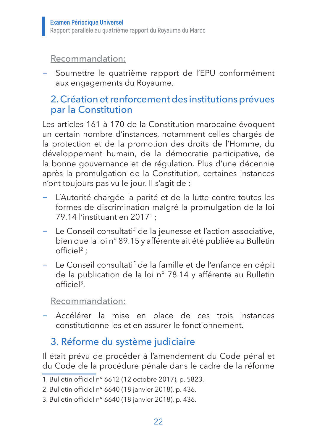#### Recommandation:

− Soumettre le quatrième rapport de l'EPU conformément aux engagements du Royaume.

## 2. Création et renforcement des institutions prévues par la Constitution

Les articles 161 à 170 de la Constitution marocaine évoquent un certain nombre d'instances, notamment celles chargés de la protection et de la promotion des droits de l'Homme, du développement humain, de la démocratie participative, de la bonne gouvernance et de régulation. Plus d'une décennie après la promulgation de la Constitution, certaines instances n'ont toujours pas vu le jour. Il s'agit de :

- − L'Autorité chargée la parité et de la lutte contre toutes les formes de discrimination malgré la promulgation de la loi 79.14 l'instituant en 20171 ;
- − Le Conseil consultatif de la jeunesse et l'action associative, bien que la loi n° 89.15 y afférente ait été publiée au Bulletin  $off$ iciel<sup>2</sup> :
- − Le Conseil consultatif de la famille et de l'enfance en dépit de la publication de la loi n° 78.14 y afférente au Bulletin officiel3.

Recommandation:

− Accélérer la mise en place de ces trois instances constitutionnelles et en assurer le fonctionnement.

# 3. Réforme du système judiciaire

Il était prévu de procéder à l'amendement du Code pénal et du Code de la procédure pénale dans le cadre de la réforme

<sup>1</sup>. Bulletin officiel n° 6612 (12 octobre 2017), p. 5823.

<sup>2</sup>. Bulletin officiel n° 6640 (18 janvier 2018), p. 436.

<sup>3</sup>. Bulletin officiel n° 6640 (18 janvier 2018), p. 436.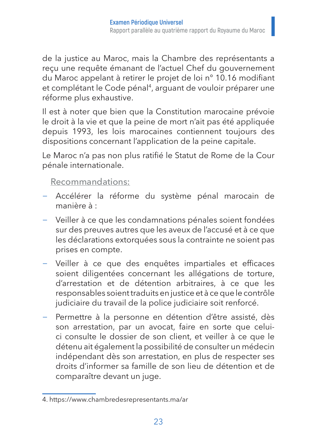de la justice au Maroc, mais la Chambre des représentants a reçu une requête émanant de l'actuel Chef du gouvernement du Maroc appelant à retirer le projet de loi n° 10.16 modifiant et complétant le Code pénal<sup>4</sup>, arguant de vouloir préparer une réforme plus exhaustive.

Il est à noter que bien que la Constitution marocaine prévoie le droit à la vie et que la peine de mort n'ait pas été appliquée depuis 1993, les lois marocaines contiennent toujours des dispositions concernant l'application de la peine capitale.

Le Maroc n'a pas non plus ratifié le Statut de Rome de la Cour pénale internationale.

#### Recommandations:

- − Accélérer la réforme du système pénal marocain de manière à :
- − Veiller à ce que les condamnations pénales soient fondées sur des preuves autres que les aveux de l'accusé et à ce que les déclarations extorquées sous la contrainte ne soient pas prises en compte.
- − Veiller à ce que des enquêtes impartiales et efficaces soient diligentées concernant les allégations de torture, d'arrestation et de détention arbitraires, à ce que les responsables soient traduits en justice et à ce que le contrôle judiciaire du travail de la police judiciaire soit renforcé.
- Permettre à la personne en détention d'être assisté, dès son arrestation, par un avocat, faire en sorte que celuici consulte le dossier de son client, et veiller à ce que le détenu ait également la possibilité de consulter un médecin indépendant dès son arrestation, en plus de respecter ses droits d'informer sa famille de son lieu de détention et de comparaître devant un juge.

<sup>4.</sup> https://www.chambredesrepresentants.ma/ar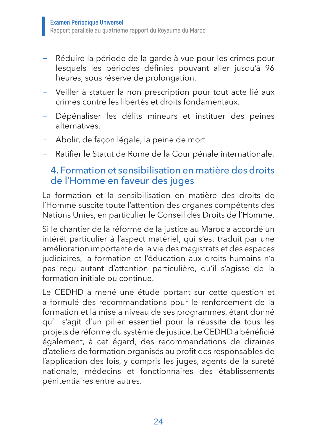- − Réduire la période de la garde à vue pour les crimes pour lesquels les périodes définies pouvant aller jusqu'à 96 heures, sous réserve de prolongation.
- − Veiller à statuer la non prescription pour tout acte lié aux crimes contre les libertés et droits fondamentaux.
- − Dépénaliser les délits mineurs et instituer des peines alternatives.
- − Abolir, de façon légale, la peine de mort
- − Ratifier le Statut de Rome de la Cour pénale internationale.

## 4. Formation et sensibilisation en matière des droits de l'Homme en faveur des juges

La formation et la sensibilisation en matière des droits de l'Homme suscite toute l'attention des organes compétents des Nations Unies, en particulier le Conseil des Droits de l'Homme.

Si le chantier de la réforme de la justice au Maroc a accordé un intérêt particulier à l'aspect matériel, qui s'est traduit par une amélioration importante de la vie des magistrats et des espaces judiciaires, la formation et l'éducation aux droits humains n'a pas reçu autant d'attention particulière, qu'il s'agisse de la formation initiale ou continue.

Le CEDHD a mené une étude portant sur cette question et a formulé des recommandations pour le renforcement de la formation et la mise à niveau de ses programmes, étant donné qu'il s'agit d'un pilier essentiel pour la réussite de tous les projets de réforme du système de justice. Le CEDHD a bénéficié également, à cet égard, des recommandations de dizaines d'ateliers de formation organisés au profit des responsables de l'application des lois, y compris les juges, agents de la sureté nationale, médecins et fonctionnaires des établissements pénitentiaires entre autres.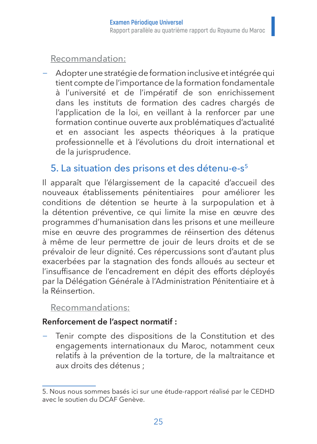#### Recommandation:

− Adopter une stratégie de formation inclusive et intégrée qui tient compte de l'importance de la formation fondamentale à l'université et de l'impératif de son enrichissement dans les instituts de formation des cadres chargés de l'application de la loi, en veillant à la renforcer par une formation continue ouverte aux problématiques d'actualité et en associant les aspects théoriques à la pratique professionnelle et à l'évolutions du droit international et de la jurisprudence.

## 5. La situation des prisons et des détenu-e-s5

Il apparaît que l'élargissement de la capacité d'accueil des nouveaux établissements pénitentiaires pour améliorer les conditions de détention se heurte à la surpopulation et à la détention préventive, ce qui limite la mise en œuvre des programmes d'humanisation dans les prisons et une meilleure mise en œuvre des programmes de réinsertion des détenus à même de leur permettre de jouir de leurs droits et de se prévaloir de leur dignité. Ces répercussions sont d'autant plus exacerbées par la stagnation des fonds alloués au secteur et l'insuffisance de l'encadrement en dépit des efforts déployés par la Délégation Générale à l'Administration Pénitentiaire et à la Réinsertion.

#### Recommandations:

#### **Renforcement de l'aspect normatif :**

Tenir compte des dispositions de la Constitution et des engagements internationaux du Maroc, notamment ceux relatifs à la prévention de la torture, de la maltraitance et aux droits des détenus ;

<sup>5.</sup> Nous nous sommes basés ici sur une étude-rapport réalisé par le CEDHD avec le soutien du DCAF Genève.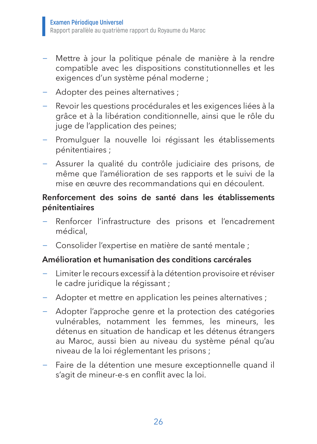- − Mettre à jour la politique pénale de manière à la rendre compatible avec les dispositions constitutionnelles et les exigences d'un système pénal moderne ;
- − Adopter des peines alternatives ;
- − Revoir les questions procédurales et les exigences liées à la grâce et à la libération conditionnelle, ainsi que le rôle du juge de l'application des peines;
- − Promulguer la nouvelle loi régissant les établissements pénitentiaires ;
- − Assurer la qualité du contrôle judiciaire des prisons, de même que l'amélioration de ses rapports et le suivi de la mise en œuvre des recommandations qui en découlent.

#### **Renforcement des soins de santé dans les établissements pénitentiaires**

- Renforcer l'infrastructure des prisons et l'encadrement médical,
- − Consolider l'expertise en matière de santé mentale ;

#### **Amélioration et humanisation des conditions carcérales**

- − Limiter le recours excessif à la détention provisoire et réviser le cadre juridique la régissant ;
- − Adopter et mettre en application les peines alternatives ;
- − Adopter l'approche genre et la protection des catégories vulnérables, notamment les femmes, les mineurs, les détenus en situation de handicap et les détenus étrangers au Maroc, aussi bien au niveau du système pénal qu'au niveau de la loi réglementant les prisons ;
- − Faire de la détention une mesure exceptionnelle quand il s'agit de mineur-e-s en conflit avec la loi.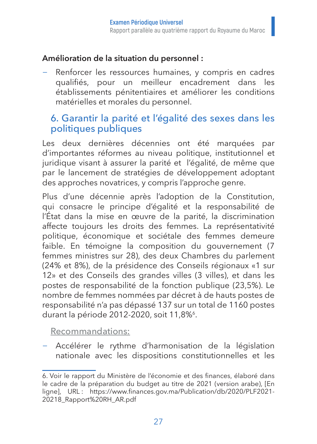### **Amélioration de la situation du personnel :**

Renforcer les ressources humaines, y compris en cadres qualifiés, pour un meilleur encadrement dans les établissements pénitentiaires et améliorer les conditions matérielles et morales du personnel.

## 6. Garantir la parité et l'égalité des sexes dans les politiques publiques

Les deux dernières décennies ont été marquées par d'importantes réformes au niveau politique, institutionnel et juridique visant à assurer la parité et l'égalité, de même que par le lancement de stratégies de développement adoptant des approches novatrices, y compris l'approche genre.

Plus d'une décennie après l'adoption de la Constitution, qui consacre le principe d'égalité et la responsabilité de l'État dans la mise en œuvre de la parité, la discrimination affecte toujours les droits des femmes. La représentativité politique, économique et sociétale des femmes demeure faible. En témoigne la composition du gouvernement (7 femmes ministres sur 28), des deux Chambres du parlement (24% et 8%), de la présidence des Conseils régionaux «1 sur 12» et des Conseils des grandes villes (3 villes), et dans les postes de responsabilité de la fonction publique (23,5%). Le nombre de femmes nommées par décret à de hauts postes de responsabilité n'a pas dépassé 137 sur un total de 1160 postes durant la période 2012-2020, soit 11,8%<sup>6</sup>.

Recommandations:

− Accélérer le rythme d'harmonisation de la législation nationale avec les dispositions constitutionnelles et les

<sup>6</sup>. Voir le rapport du Ministère de l'économie et des finances, élaboré dans le cadre de la préparation du budget au titre de 2021 (version arabe), [En ligne], URL : https://www.finances.gov.ma/Publication/db/2020/PLF2021- 20218\_Rapport%20RH\_AR.pdf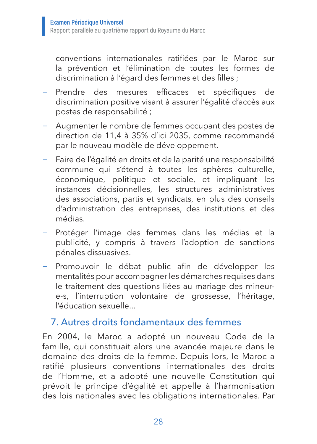conventions internationales ratifiées par le Maroc sur la prévention et l'élimination de toutes les formes de discrimination à l'égard des femmes et des filles ;

- Prendre des mesures efficaces et spécifiques de discrimination positive visant à assurer l'égalité d'accès aux postes de responsabilité ;
- Augmenter le nombre de femmes occupant des postes de direction de 11,4 à 35% d'ici 2035, comme recommandé par le nouveau modèle de développement.
- − Faire de l'égalité en droits et de la parité une responsabilité commune qui s'étend à toutes les sphères culturelle, économique, politique et sociale, et impliquant les instances décisionnelles, les structures administratives des associations, partis et syndicats, en plus des conseils d'administration des entreprises, des institutions et des médias.
- − Protéger l'image des femmes dans les médias et la publicité, y compris à travers l'adoption de sanctions pénales dissuasives.
- − Promouvoir le débat public afin de développer les mentalités pour accompagner les démarches requises dans le traitement des questions liées au mariage des mineure-s, l'interruption volontaire de grossesse, l'héritage, l'éducation sexuelle...

## 7. Autres droits fondamentaux des femmes

En 2004, le Maroc a adopté un nouveau Code de la famille, qui constituait alors une avancée majeure dans le domaine des droits de la femme. Depuis lors, le Maroc a ratifié plusieurs conventions internationales des droits de l'Homme, et a adopté une nouvelle Constitution qui prévoit le principe d'égalité et appelle à l'harmonisation des lois nationales avec les obligations internationales. Par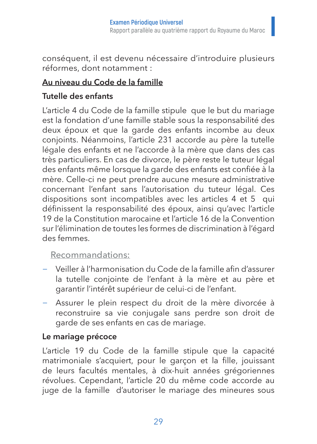conséquent, il est devenu nécessaire d'introduire plusieurs réformes, dont notamment :

#### **Au niveau du Code de la famille**

## **Tutelle des enfants**

L'article 4 du Code de la famille stipule que le but du mariage est la fondation d'une famille stable sous la responsabilité des deux époux et que la garde des enfants incombe au deux conjoints. Néanmoins, l'article 231 accorde au père la tutelle légale des enfants et ne l'accorde à la mère que dans des cas très particuliers. En cas de divorce, le père reste le tuteur légal des enfants même lorsque la garde des enfants est confiée à la mère. Celle-ci ne peut prendre aucune mesure administrative concernant l'enfant sans l'autorisation du tuteur légal. Ces dispositions sont incompatibles avec les articles 4 et 5 qui définissent la responsabilité des époux, ainsi qu'avec l'article 19 de la Constitution marocaine et l'article 16 de la Convention sur l'élimination de toutes les formes de discrimination à l'égard des femmes.

#### Recommandations:

- − Veiller à l'harmonisation du Code de la famille afin d'assurer la tutelle conjointe de l'enfant à la mère et au père et garantir l'intérêt supérieur de celui-ci de l'enfant.
- − Assurer le plein respect du droit de la mère divorcée à reconstruire sa vie conjugale sans perdre son droit de garde de ses enfants en cas de mariage.

#### **Le mariage précoce**

L'article 19 du Code de la famille stipule que la capacité matrimoniale s'acquiert, pour le garçon et la fille, jouissant de leurs facultés mentales, à dix-huit années grégoriennes révolues. Cependant, l'article 20 du même code accorde au juge de la famille d'autoriser le mariage des mineures sous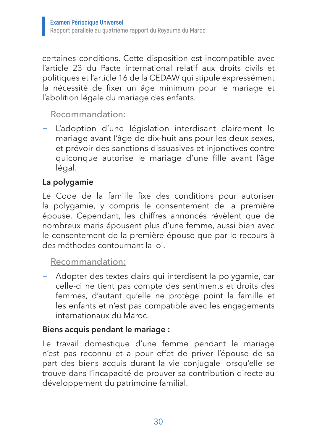certaines conditions. Cette disposition est incompatible avec l'article 23 du Pacte international relatif aux droits civils et politiques et l'article 16 de la CEDAW qui stipule expressément la nécessité de fixer un âge minimum pour le mariage et l'abolition légale du mariage des enfants.

#### Recommandation:

− L'adoption d'une législation interdisant clairement le mariage avant l'âge de dix-huit ans pour les deux sexes, et prévoir des sanctions dissuasives et injonctives contre quiconque autorise le mariage d'une fille avant l'âge légal.

#### **La polygamie**

Le Code de la famille fixe des conditions pour autoriser la polygamie, y compris le consentement de la première épouse. Cependant, les chiffres annoncés révèlent que de nombreux maris épousent plus d'une femme, aussi bien avec le consentement de la première épouse que par le recours à des méthodes contournant la loi.

#### Recommandation:

− Adopter des textes clairs qui interdisent la polygamie, car celle-ci ne tient pas compte des sentiments et droits des femmes, d'autant qu'elle ne protège point la famille et les enfants et n'est pas compatible avec les engagements internationaux du Maroc.

#### **Biens acquis pendant le mariage :**

Le travail domestique d'une femme pendant le mariage n'est pas reconnu et a pour effet de priver l'épouse de sa part des biens acquis durant la vie conjugale lorsqu'elle se trouve dans l'incapacité de prouver sa contribution directe au développement du patrimoine familial.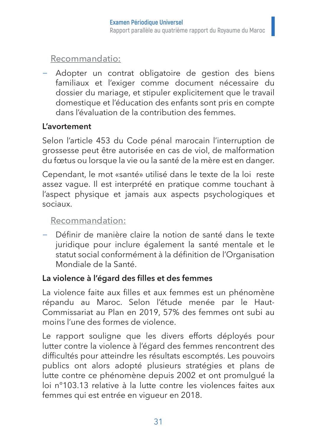Recommandatio:

Adopter un contrat obligatoire de gestion des biens familiaux et l'exiger comme document nécessaire du dossier du mariage, et stipuler explicitement que le travail domestique et l'éducation des enfants sont pris en compte dans l'évaluation de la contribution des femmes.

#### **L'avortement**

Selon l'article 453 du Code pénal marocain l'interruption de grossesse peut être autorisée en cas de viol, de malformation du fœtus ou lorsque la vie ou la santé de la mère est en danger.

Cependant, le mot «santé» utilisé dans le texte de la loi reste assez vague. Il est interprété en pratique comme touchant à l'aspect physique et jamais aux aspects psychologiques et sociaux.

#### Recommandation:

− Définir de manière claire la notion de santé dans le texte juridique pour inclure également la santé mentale et le statut social conformément à la définition de l'Organisation Mondiale de la Santé.

#### **La violence à l'égard des filles et des femmes**

La violence faite aux filles et aux femmes est un phénomène répandu au Maroc. Selon l'étude menée par le Haut-Commissariat au Plan en 2019, 57% des femmes ont subi au moins l'une des formes de violence.

Le rapport souligne que les divers efforts déployés pour lutter contre la violence à l'égard des femmes rencontrent des difficultés pour atteindre les résultats escomptés. Les pouvoirs publics ont alors adopté plusieurs stratégies et plans de lutte contre ce phénomène depuis 2002 et ont promulgué la loi n°103.13 relative à la lutte contre les violences faites aux femmes qui est entrée en vigueur en 2018.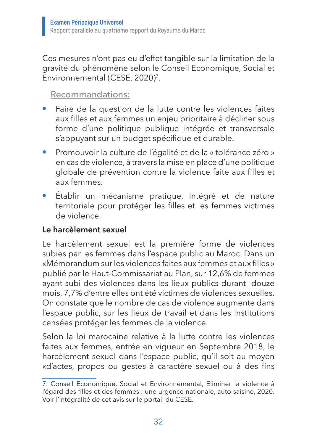Ces mesures n'ont pas eu d'effet tangible sur la limitation de la gravité du phénomène selon le Conseil Economique, Social et Environnemental (CESE, 2020)7.

#### Recommandations:

- Faire de la question de la lutte contre les violences faites aux filles et aux femmes un enjeu prioritaire à décliner sous forme d'une politique publique intégrée et transversale s'appuyant sur un budget spécifique et durable.
- Promouvoir la culture de l'égalité et de la « tolérance zéro » en cas de violence, à travers la mise en place d'une politique globale de prévention contre la violence faite aux filles et aux femmes.
- Établir un mécanisme pratique, intégré et de nature territoriale pour protéger les filles et les femmes victimes de violence.

#### **Le harcèlement sexuel**

Le harcèlement sexuel est la première forme de violences subies par les femmes dans l'espace public au Maroc. Dans un «Mémorandum sur les violences faites aux femmes et aux filles » publié par le Haut-Commissariat au Plan, sur 12,6% de femmes ayant subi des violences dans les lieux publics durant douze mois, 7,7% d'entre elles ont été victimes de violences sexuelles. On constate que le nombre de cas de violence augmente dans l'espace public, sur les lieux de travail et dans les institutions censées protéger les femmes de la violence.

Selon la loi marocaine relative à la lutte contre les violences faites aux femmes, entrée en vigueur en Septembre 2018, le harcèlement sexuel dans l'espace public, qu'il soit au moyen «d'actes, propos ou gestes à caractère sexuel ou à des fins

<sup>7.</sup> Conseil Economique, Social et Environnemental, Eliminer la violence à l'égard des filles et des femmes : une urgence nationale, auto-saisine, 2020. Voir l'intégralité de cet avis sur le portail du CESE.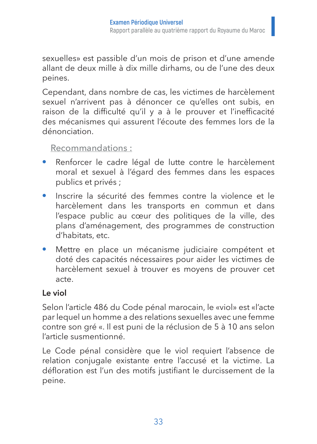sexuelles» est passible d'un mois de prison et d'une amende allant de deux mille à dix mille dirhams, ou de l'une des deux peines.

Cependant, dans nombre de cas, les victimes de harcèlement sexuel n'arrivent pas à dénoncer ce qu'elles ont subis, en raison de la difficulté qu'il y a à le prouver et l'inefficacité des mécanismes qui assurent l'écoute des femmes lors de la dénonciation.

#### Recommandations :

- Renforcer le cadre légal de lutte contre le harcèlement moral et sexuel à l'égard des femmes dans les espaces publics et privés ;
- Inscrire la sécurité des femmes contre la violence et le harcèlement dans les transports en commun et dans l'espace public au cœur des politiques de la ville, des plans d'aménagement, des programmes de construction d'habitats, etc.
- Mettre en place un mécanisme judiciaire compétent et doté des capacités nécessaires pour aider les victimes de harcèlement sexuel à trouver es moyens de prouver cet acte.

#### **Le viol**

Selon l'article 486 du Code pénal marocain, le «viol» est «l'acte par lequel un homme a des relations sexuelles avec une femme contre son gré «. Il est puni de la réclusion de 5 à 10 ans selon l'article susmentionné.

Le Code pénal considère que le viol requiert l'absence de relation conjugale existante entre l'accusé et la victime. La défloration est l'un des motifs justifiant le durcissement de la peine.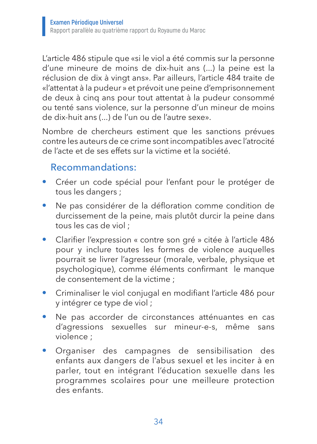L'article 486 stipule que «si le viol a été commis sur la personne d'une mineure de moins de dix-huit ans (...) la peine est la réclusion de dix à vingt ans». Par ailleurs, l'article 484 traite de «l'attentat à la pudeur » et prévoit une peine d'emprisonnement de deux à cinq ans pour tout attentat à la pudeur consommé ou tenté sans violence, sur la personne d'un mineur de moins de dix-huit ans (...) de l'un ou de l'autre sexe».

Nombre de chercheurs estiment que les sanctions prévues contre les auteurs de ce crime sont incompatibles avec l'atrocité de l'acte et de ses effets sur la victime et la société.

### Recommandations:

- Créer un code spécial pour l'enfant pour le protéger de tous les dangers ;
- Ne pas considérer de la défloration comme condition de durcissement de la peine, mais plutôt durcir la peine dans tous les cas de viol ;
- Clarifier l'expression « contre son gré » citée à l'article 486 pour y inclure toutes les formes de violence auquelles pourrait se livrer l'agresseur (morale, verbale, physique et psychologique), comme éléments confirmant le manque de consentement de la victime ;
- Criminaliser le viol conjugal en modifiant l'article 486 pour y intégrer ce type de viol ;
- Ne pas accorder de circonstances atténuantes en cas d'agressions sexuelles sur mineur-e-s, même sans violence ;
- Organiser des campagnes de sensibilisation des enfants aux dangers de l'abus sexuel et les inciter à en parler, tout en intégrant l'éducation sexuelle dans les programmes scolaires pour une meilleure protection des enfants.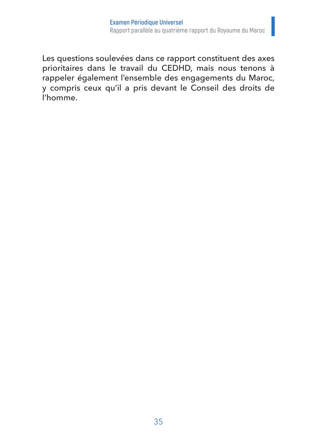Les questions soulevées dans ce rapport constituent des axes prioritaires dans le travail du CEDHD, mais nous tenons à rappeler également l'ensemble des engagements du Maroc, y compris ceux qu'il a pris devant le Conseil des droits de l'homme.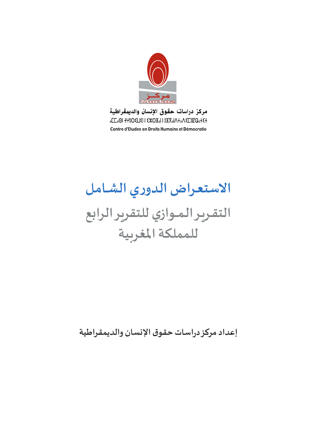

مركز دراسات حقوق الإنسان والديمقراطية **GELGOI +Y8O ELEI I EXOIGI I SILXGIA +GA ELEGOG+ E+** Centre d'Etudes en Droits Humains et Démocratie

# **االستعـراضالدوري الشـامـل التقـريـرالـمــوازي للتقريرالرابع للمملكةاملغربية**

**إعدادمركزدراساتحقوق اإلنسان والديمقراطية**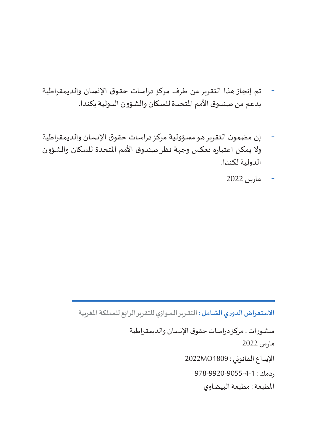- تم إنجاز هذا التقرير من طرف مركز دراسات حقوق اإلنسان والديمقراطية بدعم من صندوق األمم املتحدة للسكان والشؤون الدولية بكندا.
- إن مضمون التقرير هو مسؤولية مركز دراسات حقوق اإلنسان والديمقراطية ولا يمكن اعتباره يعكس وجهة نظر صندوق الأمم المتحدة للسكان والشؤون الدولية لكندا.
	- مارس 2022

منشورات : مركز دراسات حقوق اإلنسان والديمقراطية مارس 2022 اإليداع القانوني : 1809MO2022 ردمك : 978-9920-9055-4-1 املطبعة : مطبعة البيضاوي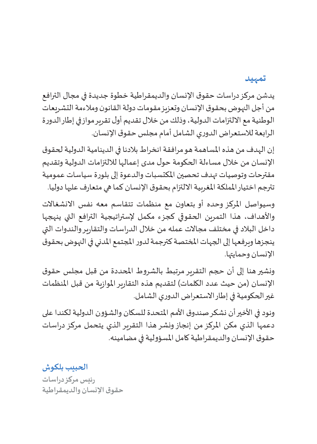#### **تمهيد**

يدشن مركز دراسات حقوق اإلنسان والديمقراطية خطوة جديدة في مجال الترافع من أجل النهوض بحقوق اإلنسان وتعزيز مقومات دولة القانون ومالءمة التشريعات الوطنية مع االلتزامات الدولية، وذلك من خالل تقديم أول تقرير مواز في إطار الدورة الرابعة لالستعراض الدوري الشامل أمام مجلس حقوق اإلنسان.

إن الهدف من هذه املساهمة هو مرافقة انخراط بالدنا في الدينامية الدولية لحقوق اإلنسان من خالل مساءلة الحكومة حول مدى إعمالها لاللتزامات الدولية وتقديم مقترحات وتوصيات تهدف تحصين املكتسبات والدعوة إلى بلورة سياسات عمومية تترجم اختيار المملكة المغربية الالتزام بحقوق الإنسان كما هي متعارف عليها دوليا.

وسيواصل المركز وحده أو بتعاون مع منظمات تتقاسم معه نفس الانشغالات واألهداف، هذا التمرين الحقوقي كجزء مكمل إلستراتيجية الترافع التي ينهجها داخل البالد في مختلف مجاالت عمله من خالل الدراسات والتقارير والندوات التي ينجزها ويرفعها إلى الجهات املختصة كترجمة لدور املجتمع املدني في النهوض بحقوق الإنسان وحمايتها.

ونشير هنا إلى أن حجم التقرير مرتبط بالشروط املحددة من قبل مجلس حقوق الإنسان (من حيث عدد الكلمات) لتقديم هذه التقارير الموازية من قبل المنظمات غير الحكومية في إطار االستعراض الدوري الشامل.

ونود في الأخير أن نشكر صندوق الأمم المتحدة للسكان والشؤون الدولية لكندا على دعمها الذي مكن املركز من إنجاز ونشر هذا التقرير الذي يتحمل مركز دراسات حقوق الإنسان والديمقراطية كامل المسؤولية في مضامينه.

**الحبيب بلكوش رئيس مركز دراسات حقوق اإلنسان والديمقراطية**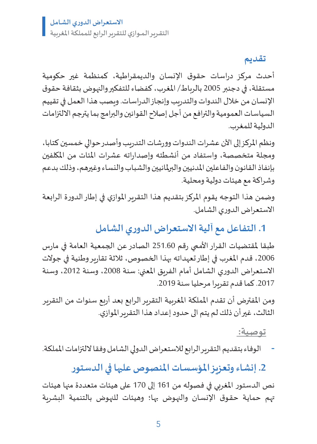**تقديم**

أحدث مركز دراسات حقوق اإلنسان والديمقراطية، كمنظمة غير حكومية مستقلة، في دجنبر 2005 بالرباط/ املغرب، كفضاء للتفكير والنهوض بثقافة حقوق اإلنسان من خالل الندوات والتدريب وإنجاز الدراسات. ويصب هذا العمل في تقييم السياسات العمومية والترافع من أجل إصالح القوانين والبرامج بما يترجم االلتزامات الدولية للمغرب.

ونظم المركز إلى الآن عشرات الندوات وورشات التدريب وأصدر حوالي خمسين كتابا، ومجلة متخصصة، واستفاد من أنشطته وإصداراته عشرات املئات من املكلفين بإنفاذ القانون والفاعلين املدنيين والبرملانيين والشباب والنساء وغيرهم، وذلك بدعم وشراكة مع هيئات دولية ومحلية.

وضمن هذا التوجه يقوم املركز بتقديم هذا التقرير املوازي في إطار الدورة الرابعة االستعراض الدوري الشامل.

**.1 التفاعل مع آلية االستعراض الدوري الشامل**

طبقا لمقتضيات القرار الأممي رقم 251.60 الصادر عن الجمعية العامة في مارس 2006، قدم المغرب في إطار تعهداته بهذا الخصوص، ثلاثة تقارير وطنية في جولات الاستعراض الدوري الشامل أمام الفريق المعنى: سنة 2008، وسنة 2012، وسنة 2017. كما قدم تقريرا مرحليا سنة 2019.

ومن المفترض أن تقدم المملكة المغربية التقرير الرابع بعد أربع سنوات من التقرير الثالث، غيرأن ذلكلم يتم الى حدودإعداد هذا التقريراملوازي.

**توصية:** 

- الوفاء بتقديم التقرير الرابع لالستعراض الدولي الشامل وفقا اللتزامات اململكة.

**.2 إنشاء وتعزيز املؤسسات املنصوص عليها في الدستور**

نص الدستور املغربي في فصوله من 161 إلى 170 على هيئات متعددة منها هيئات تهم حمايـة حقـوق اإلنسـان والنهـوض بهـا؛ وهيئات للنهوض بالتنمية البشرية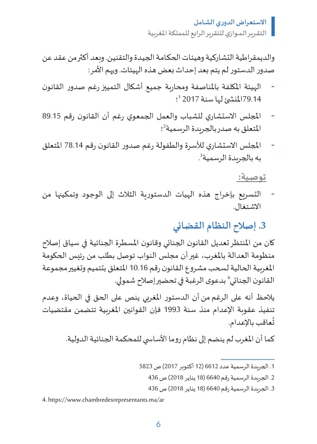والديمقراطية التشاركية وهيئات الحكامة الجيدة والتقنين. وبعد أكثر من عقد عن صدور الدستور لم يتم بعد إحداث بعض هذه الهيئات. ويهم الأمر:

- الهيئة املكلفة باملناصفة ومحاربة جميع أشكال التمييزرغم صدور القانون 79.14المُنشئ لها سنة 2017 <sup>1</sup>؛
- المجلس الاستشاري للشباب والعمل الجمعوي رغم أن القانون رقم 89.15 المتعلق به صدر بالجريدة الرسمية<sup>2</sup>؛
- املجلس االستشاري لألسرة والطفولة رغم صدور القانون رقم 78.14 املتعلق . به بالجريدة الرسمية<sup>3</sup>

**توصية:** 

- التسريع بإخراج هذه الهيات الدستورية الثالث إلى الوجود وتمكينها من االشتغال.

## **.3 إصالح النظام القضائي**

كان من المنتظر تعديل القانون الجنائي وقانون المسطرة الجنائية في سياق إصلاح منظومة العدالة باملغرب، غيرأن مجلس النواب توصل بطلب من رئيس الحكومة المغربية الحالية لسحب مشروع القانون رقم 10.16 المتعلق بتتميم وتغيير مجموعة القانون الجنائي<sup>4</sup> بدعوى الرغبة في تحضير إصلاح شمولي.

يالحظ أنه على الرغم من أن الدستور املغربي ينص على الحق في الحياة، وعدم تنفيذ عقوبة اإلعدام منذ سنة 1993 فإن القوانين املغربية تتضمن مقتضيات ُعاقبباإلعدام. ت

كما أن المغرب لم ينضم إلى نظام روما الأساسي للمحكمة الجنائية الدولية.

33 الجريدة الرسمية رقم 6640 )18 يناير 2018( ص 436

4. https://www.chambredesrepresentants.ma/ar

<sup>11</sup> الجريدة الرسمية عدد 6612 )12 أكتوبر 2017( ص 5823

<sup>22</sup> الجريدة الرسمية رقم 6640 )18 يناير 2018( ص 436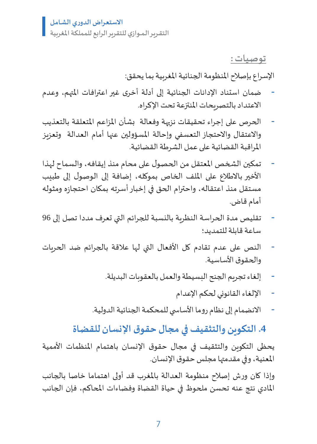**توصيات :**

اإلسراع بإصالح املنظومة الجنائية املغربية بما يحقق:

- ضمان استناد اإلدانات الجنائية إلى أدلة أخرى غير اعترافات املتهم، وعدم االعتداد بالتصريحات املنتزعة تحت اإلكراه.
- الحرص على إجراء تحقيقات نزيهة وفعالة بشأن المزاعم المتعلقة بالتعذيب والاعتقال والاحتجاز التعسفي وإحالة المسؤولين عنها أمام العدالة وتعزيز املراقبة القضائية على عمل الشرطة القضائية.
- تمكين الشخص المعتقل من الحصول على محام منذ إيقافه، والسماح لهذا األخير باالطالع على امللف الخاص بموكله، إضافة إلى الوصول إلى طبيب مستقل منذ اعتقاله، واحترام الحق في إخبار أسرته بمكان احتجازه ومثوله أمام قاض.
- تقليص مدة الحراسة النظرية بالنسبة للجرائم التي تعرف مددا تصل إلى 96 ساعة قابلة للتمديد؛
- النص على عدم تقادم كل األفعال التي لها عالقة بالجرائم ضد الحريات والحقوق الأساسية.
	- إلغاء تجريم الجنح البسيطة والعمل بالعقوبات البديلة.
		- اإللغاء القانوني لحكم اإلعدام
	- الانضمام إلى نظام روما الأساسي للمحكمة الجنائية الدولية.

**.4 التكوين والتثقيف في مجال حقوق اإلنسان للقضاة**

يحظى التكوبن والتثقيف في مجال حقوق الإنسان باهتمام المنظمات الأممية المعنية، وفي مقدمتها مجلس حقوق الإنسان.

وإذا كان ورش إصالح منظومة العدالة باملغرب قد أولى اهتماما خاصا بالجانب املادي نتج عنه تحسن ملحوظ في حياة القضاة وفضاءات املحاكم، فإن الجانب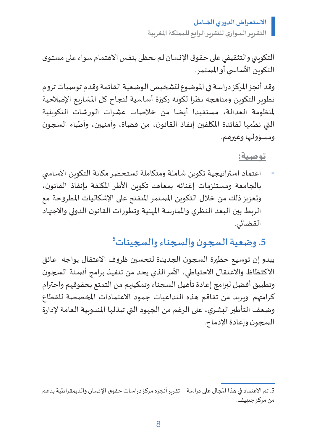التكويني والتثقيفي على حقوق اإلنسان لم يحظى بنفس االهتمام سواء على مستوى التكوين الأساسي أو المستمر.

وقد أنجز املركز دراسة في املوضوع لتشخيص الوضعية القائمة وقدم توصيات تروم تطوير التكوين ومناهجه نظرا لكونه ركيزة أساسية لنجاح كل المشاريع الإصلاحية ملنظومة العدالة، مستفيدا أيضا من خالصات عشرات الورشات التكوينية التي نظمها لفائدة املكلفين إنفاذ القانون، من قضاة، وأمنيين، وأطباء السجون ومسؤوليها وغيرهم.

**توصية:**

اعتماد استراتيجية تكوبن شاملة ومتكاملة تستحضر مكانة التكوبن الأساسي بالجامعة ومستلزمات إغنائه بمعاهد تكوين األطر املكلفة بإنفاذ القانون، وتعزيز ذلك من خلال التكوين المستمر المنفتح على الإشكاليات المطروحة مع الربط بين البعد النظري واملمارسة املهنية وتطورات القانون الدولي واالجتهاد القضائي.

# **5 .5 وضعية السجون والسجناء والسجينات**

يبدو إن توسيع حظيرة السجون الجديدة لتحسين ظروف االعتقال يواجه عائق االكتظاظ واالعتقال االحتياطي، األمر الذي يحد من تنفيذ برامج أنسنة السجون وتطبيق أفضل لبرامج إعادة تأهيل السجناء وتمكينهم من التمتع بحقوقهم واحترام كرامتهم. وبزيد من تفاقم هذه التداعيات جمود الاعتمادات المخصصة للقطاع وضعف التأطير البشري، على الرغم من الجهود التي تبذلها المندوبية العامة لإدارة السجون وإعادة اإلدماج.

<sup>5.</sup> تم الاعتماد في هذا المجال على دراسة – تقرير أنجزه مركز دراسات حقوق الإنسان والديمقراطية بدعم من مركز جنييف.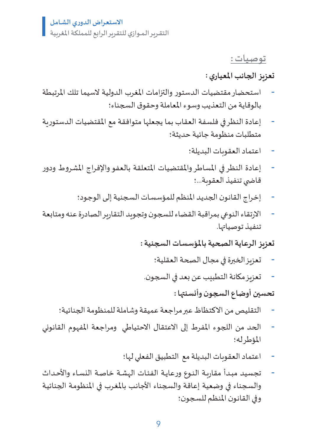**توصيات :**

#### **تعزيز الجانباملعياري :**

- استحضار مقتضيات الدستور والتزامات املغرب الدولية السيما تلك املرتبطة بالوقاية من التعذيب وسوء املعاملة وحقوق السجناء؛
- إعادة النظر في فلسفة العقاب بما يجعلها متوافقة مع المقتضيات الدستورية متطلبات منظومة جائية حديثة؛
	- اعتماد العقوبات البديلة؛
- إعادة النظر في المساطر والمقتضيات المتعلقة بالعفو والإفراج المشروط ودور قاضي تنفيذ العقوبة...؛
	- إخراج القانون الجديد المنظم للمؤسسات السجنية إلى الوجود؛
- االرتقاء النوعي بمراقبة القضاء للسجون وتجويد التقارير الصادرة عنه ومتابعة تنفيذ توصياتها.

**تعزيز الرعايةالصحيةباملؤسساتالسجنية:**

- تعزيز الخبرة في مجال الصحة العقلية؛
- تعزيز مكانة التطبيب عن بعد في السجون.

**تحسين أوضاع السجون وأنسنتها :** 

- التقليص من االكتظاظ عبر مراجعة عميقة وشاملة للمنظومة الجنائية؛
- الحد من اللجوء املفرط إلى االعتقال االحتياطي ومراجعة املفهوم القانوني املؤطر له؛
	- اعتماد العقوبات البديلة مع التطبيق الفعلي لها؛
- تجسيد مبدأ مقاربة النـوع ورعايـة الفئـات الهشـة خاصـة النسـاء والأحداث والسجناء في وضعية إعاقة والسجناء الأجانب بالمغرب في المنظومة الجنائية وفي القانون المنظم للسجون؛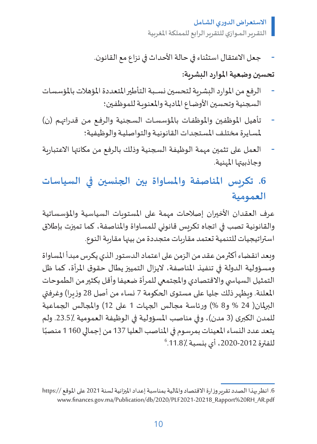جعل الاعتقال استثناء في حالة الأحداث في نزاع مع القانون.

#### **تحسين وضعيةاملواردالبشرية:**

- الرفع من الموارد البشرية لتحسين نسـبة التأطير المتعددة المؤهلات بالمؤسسات السجنية وتحسين الأوضاع المادية والمعنوبة للموظفين؛
- تأهيل الموظفين والموظفـات بالمؤسسـات السـجنية والرفـع مـن قدراتهـم (ن) لمسايرة مختلف المستجدات القانونية والتواصلية والوظيفية؛
- العمل على تثمين مهمة الوظيفة السجنية وذلك بالرفع من مكانتها االعتبارية وجاذبيتها املهنية.

# **.6 تكريس املناصفة واملساواة بين الجنسين في السياسات العمومية**

عرف العقدان الأخيران إصلاحات مهمة على المستويات السياسية والمؤسساتية والقانونية تصب في اتجاه تكريس قانوني للمساواة واملناصفة، كما تميزت بإطالق استراتيجيات للتنمية تعتمد مقاربات متجددة من بينها مقاربة النوع.

وبعد انقضاء أكثر من عقد من الزمن على اعتماد الدستور الذي يكرس مبدأ املساواة ومسؤولية الدولة في تنفيذ المناصفة، لايزال التمييز يطال حقوق المرأة، كما ظل التمثيل السياسي والاقتصادي والمجتمعي للمرأة ضعيفا وأقل بكثير من الطموحات المعلنة. ويظهر ذلك جليا على مستوى الحكومة 7 نساء من أصل 28 وزيرا) وغرفتي البرلمان( 24 % و8 %) ورئاسة مجالس الجهات 1 على 12) والمجالس الجماعية للمدن الكبرى (3 مدن)، وفي مناصب المسؤولية في الوظيفة العمومية ./23.5٪ ولم يتعد عدد النساء المعينات بمرسوم في المناصب العليا 137 من إجمالي 1160 منصبًا<br>الفقية 2012-2020 أي بنسبة 11.87 <sup>6</sup> للفترة ،2020-2012 أي بنسبة .11.8٪

<sup>6.</sup> انظر بهذا الصدد تقرير وزارة الاقتصاد والمالية بمناسبة إعداد الميزانية لسنة 2021 على الموقع //https: www.finances.gov.ma/Publication/db/2020/PLF2021-20218\_Rapport%20RH\_AR.pdf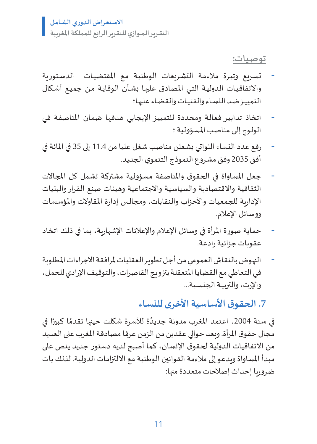**توصيات:**

- تسـريع وتيـرة مالءمـة التشـريعات الوطنيـة مـع املقتضيـات الدسـتورية واالتفاقيـات الدوليـة التـي املصادق عليهـا بشـأن الوقايـة مـن جميـع أشـكال التمييـز ضـد النسـاء والفتيـات والقضـاء عليهـا؛
- اتخاذ تدابير فعالة ومحددة للتمييز الإيجابي هدفها ضمان المناصفة في الولوج إلى مناصب المسؤولية ؛
- رفع عدد النساء اللواتي يشغلن مناصب شغل عليا من 11.4 إلى 35 في املائة في أفق 2035 وفق مشروع النموذج التنموي الجديد.
- جعل المساواة في الحقوق والمناصفة مسؤولية مشتركة تشمل كل المجالات الثقافية واالقتصادية والسياسية واالجتماعية وهيئات صنع القرار والبنيات الإدارية للجمعيات والأحزاب والنقابات، ومجالس إدارة المقاولات والمؤسسات ووسائل الإعلام.
- حماية صورة المرأة في وسائل الإعلام والإعلانات الإشهارية، بما في ذلك اتخاد عقوبات جزائية رادعة.
- النهـوض بالنقـاش العمومـي مـن أجـل تطويـر العقليـات ملرافقة االجراءات املطلوبة فـي التعاطـي مـع القضايـا املتعقلـة بتزويـج القاصرات، والتوقيـف اإلرادي للحمـل، واإلرث، والتربيـة الجنسـية...

**.7 الحقوق األساسية األخرى للنساء**

في سنة 2004، اعتمد المغرب مدونة جديدًة للأسرة شكلت حينها تقدمًا كبيرًا في ًًمجال حقوق املرأة. وبعد حوالي عقدين من الزمن عرفا مصادقة املغرب على العديد من االتفاقيات الدولية لحقوق اإلنسان، كما أصبح لديه دستور جديد ينص على مبدأ المساواة وبدعو إلى ملاءمة القوانين الوطنية مع الالتزامات الدولية. لذلك بات ضروريا إحداث إصالحات متعددة منها: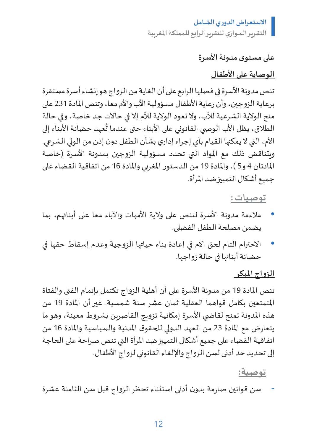#### **علىمستوى مدونةاألسرة**

#### **الوصاية على األطفال**

تنص مدونة األسرة في فصلها الرابع على أن الغاية من الزواج هو إنشاء أسرة مستقرة برعاية الزوجين، وأن رعاية األطفال مسؤولية األب واألم معا، وتنص املادة 231 على منح الوالية الشرعية لألب، وال تعود الوالية لألم إال في حاالت جد خاصة، وفي حالة س - ر - سبب حسب حسب حضانة المسابق.<br>الطلاق، يظل الأب الوصي القانوني على الأبناء حتى عندما تُعهد حضانة الأبناء إلى األم، التي ال يمكنها القيام بأي إجراء إداري بشأن الطفل دون إذن من الولي الشرعي. وبتناقض ذلك مع المواد التي تحدد مسؤولية الزوجين بمدونة الأسرة (خاصة المادتان 4 و5 )، والمادة 19 من الدستور المغربي والمادة 16 من اتفاقية القضاء على جميع أشكال التمييز ضد املرأة.

#### **توصيات :**

- مالءمة مدونة األسرة لتنص على والية األمهات واآلباء معا على أبنائهم، بما يضمن مصلحة الطفل الفضلى.
- االحترام التام لحق األم في إعادة بناء حياتها الزوجية وعدم إسقاط حقها في حضانة أبنائها في حالة زواجها.

#### **الزواج املبكر**

تنص املادة 19 من مدونة األسرة على أن أهلية الزواج تكتمل بإتمام الفتى والفتاة املتمتعين بكامل قواهما العقلية ثمان عشر سنة شمسية. غير أن املادة 19 من هذه المدونة تمنح لقاضي الأسرة إمكانية تزويج القاصرين بشروط معينة، وهو ما يتعارض مع املادة 23 من العهد الدولي للحقوق املدنية والسياسية واملادة 16 من اتفاقية القضاء على جميع أشكال التمييز ضد املرأة التي تنص صراحة على الحاجة إلى تحديد حد أدنى لسن الزواج واإللغاء القانوني لزواج األطفال.

#### **توصية:**

- سن قوانين صارمة بدون أدنى استثناء تحظر الزواج قبل سن الثامنة عشرة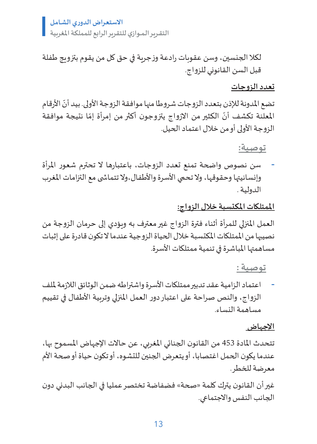**االستعـراضالدوري الشـامـل**

**التقـريـرالـمــوازي للتقريرالرابع للمملكةاملغربية**

لكال الجنسين، وسن عقوبات رادعة وزجرية في حق كل من يقوم بتزويج طفلة قبل السن القانوني للزواج.

#### **تعدد الزوجات**

نضع المدونة للإذن بتعدد الزوجات شروطا منها موافقة الزوجة الأولى. بيد أنّ الأرقام ֦֧֦֧֦֧֦֧֦֧֦֧֦֧ׅ֧֦֧ׅ֧֦֧ׅ֧ׅ֧֧֝֜֓֓֡֬֓֜֓֓֜֓֓֜֓֓֞֬֓֜֬֓ ل عن سبب من المركز.<br>المعلنة تكشف أنّ الكثير من الازواج يتزوجون أكثر من إمرأة إمّا نتيجة موافقة الزوجة األولى أو من خالل اعتماد الحيل.

**توصية:**

- سن نصوص واضحة تمنع تعدد الزوجات، باعتبارها ال تحترم شعور املرأة وإنسانيتها وحقوقها، ولا تحمي الأسرة والأطفال،ولا تتماشى مع التزامات المغرب الدولية .

**املمتلكات املكتسبة خالل الزواج:**

العمل املنزلي للمرأة أثناء فترة الزواج غير معترف به ويؤدي إلى حرمان الزوجة من نصيبها من الممتلكات المكتسبة خلال الحياة الزوجية عندما لا تكون قادرة على إثبات مساهمتها املباشرة في تنمية ممتلكات األسرة.

**توصية :**

اعتماد الزامية عقد تدبير ممتلكات الأسرة واشتراطه ضمن الوثائق اللازمة لملف الزواج، والنص صراحة على اعتبار دور العمل املنزلي وتربية األطفال في تقييم مساهمة النساء.

#### **اإلجهاض**

تتحدث املادة 453 من القانون الجنائي املغربي، عن حاالت اإلجهاض املسموح بها، عندما يكون الحمل اغتصابا، أو يتعرض الجنين للتشوه، أو تكون حياة أو صحة األم معرضة للخطر.

غير أن القانون يترك كلمة »صحة« فضفاضة تختصر عمليا في الجانب البدني دون الجانب النفس واالجتماعي.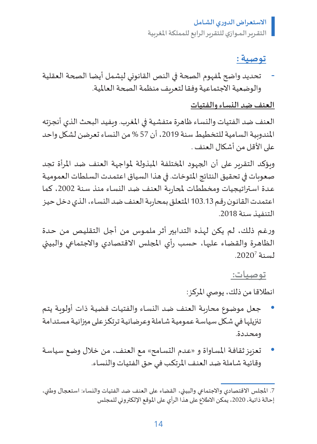#### **توصية :**

- تحديد واضح ملفهوم الصحة في النص القانوني ليشمل أيضا الصحة العقلية والوضعية الاجتماعية وفقا لتعريف منظمة الصحة العالمية.

#### **العنف ضد النساء والفتيات**

العنف ضد الفتيات والنساء ظاهرة متفشية في املغرب. ويفيد البحث الذي أنجزته المندوبية السامية للتخطيط سنة 2019، أن 57 % من النساء تعرضن لشكل واحد على الأقل من أشكال العنف .

ويؤكد التقرير على أن الجهود املختلفة املبذولة ملواجهة العنف ضد املرأة تجد صعوبات في تحقيق النتائج املتوخات. في هذا السياق اعتمـدت السـلطات العموميـة عـدة اسـتراتيجيات ومخططـات لمحاربـة الـعنف ضد النسـاء منذ سـنة 2002، كما اعتمدت القانـونرقـم 103.13 املتعلـق بمحاربـة العنـف ضـد النسـاء، الـذي دخـل حيـز التنفيـذ سنة .2018

ورغـم ذلـك، لم يكن لهـذه التدابير أثر ملمـوس من أجل التقليـص مـن حـدة الظاهرة والقضاء عليها، حسب رأي المجلس الاقتصادي والاجتماعي والبيئي  $.2020^7$ لسنة.

**توصيات:** 

انطلاقا من ذلك، يوصي المركز:

- جعل موضـوع محاربـة العنـف ضـد النسـاء والفتيـات قضيـة ذات أولويـة يتـم تنزيلهـا فـي شـكل سياسـة عموميـة شـاملة وعرضانيـة ترتكـز علـى ميزانيـة مسـتدامة ومحـددة.
- تعزيز ثقافـة المسـاواة و «عـدم التسـامح» مع العنف، من خلال وضع سياسـة وقائيـة شـاملة ضـد العنـف املرتكـب فـي حـق الفتيـات والنسـاء.

<sup>7.</sup> المجلس الاقتصادي والاجتماعي والبيئي، القضاء على العنف ضد الفتيات والنساء: استعجال وطني، إحالة ذاتية، 2020، يمكن الاطلاع على هذا الرأي على الموقع الإلكتروني للمجلس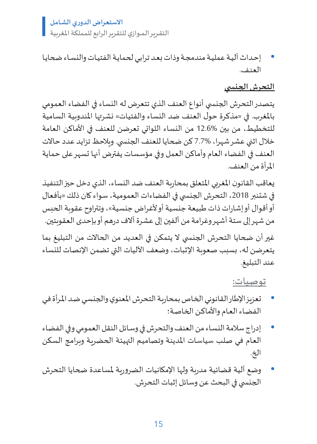**االستعـراضالدوري الشـامـل**

**التقـريـرالـمــوازي للتقريرالرابع للمملكةاملغربية**

• إحـداث آليـة عمليـة مندمجـة وذات بعـد ترابـي لحمايـة الفتيـات والنسـاء ضحايـا العنـف.

#### **التحرش الجن�سي**

يتصدر التحرش الجنسي أنواع العنف الذي تتعرض له النساء في الفضاء العمومي بالمغرب. في «مذكرة حول العنف ضد النساء والفتيات» نشرتها المندوبية السامية للتخطيط، من بين 12.6% من النساء اللواتي تعرضن للعنف في األماكن العامة خلال اثني عشر شهرا، %7.7 كن ضحايا للعنف الجنسي. وبلاحظ تزايد عدد حالات العنف في الفضاء العام وأماكن العمل وفي مؤسسات يفترض أنها تسهر على حماية املرأة من العنف.

يعاقب القانون املغربي املتعلق بمحاربة العنف ضد النساء، الذي دخل حيز التنفيذ في شتنبر 2018، التحرش الجنسي في الفضاءات العمومية، سواء كان ذلك «بأفعال أو أقوال أو إشارات ذات طبيعة جنسية أو ألغراض جنسية«، وتتراوح عقوبة الحبس من شهر إلى ستة أشهر وغرامة من ألفين إلى عشرة آالف درهم أو بإحدى العقوبتين. غير أن ضحايا التحرش الجنسي لا يتمكن في العديد من الحالات من التبليغ بما يتعرضن له، بسبب صعوبة اإلثبات، وضعف اآلليات التي تضمن اإلنصات للنساء عند التبليغ.

#### **توصيات:**

- تعزيز اإلطار القانونـي الخـاص بمحاربـة التحرش املعنوي والجنسـي ضـد املـرأة فـي الفضـاء العـام واألماكـن الخاصـة؛
- إدراج سالمة النسـاء من العنف والتحرش في وسـائل النقل العمومي وفي الفضـاء العـام فـي صلـب سياسـات املدينـة وتصاميـم التهيئـة الحضريـة وبرامـج السكن الخ.
- وضع آلية قضائية مدربة ولها الإمكانيات الضروربة لمساعدة ضحايا التحرش الجنسي في البحث عن وسائل إثبات التحرش.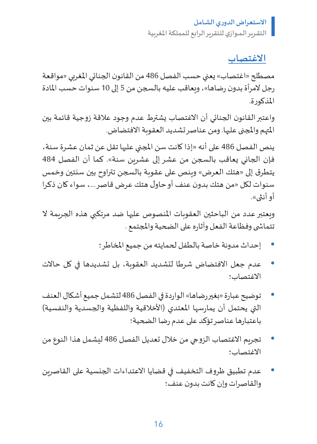**االغتصاب**

مصطلح «اغتصاب» يعني حسب الفصل 486 من القانون الجنائي المغربي «مواقعة رجل المرأة بدون رضاها«، ويعاقب عليه بالسجن من 5 إلى 10 سنوات حسب املادة املذكورة.

واعتبر القانون الجنائي أن االغتصاب يشترط عدم وجود عالقة زوجية قائمة بين املتهم واملجنى عليها. ومن عناصر تشديد العقوبة االفتضاض.

ينص الفصل 486 على أنه »إذا كانت سن املجني عليها تقل عن ثمان عشرة سنة، فإن الجاني يعاقب بالسجن من عشر إلى عشرين سنة«. كما أن الفصل 484 يتطرق إلى »هتك العرض« وينص على عقوبة بالسجن تتراوح بين سنتين وخمس سنوات لكل »من هتك بدون عنف أو حاول هتك عرض قاصر،... سواء كان ذكرا أو أنثى«.

وبعتبر عدد من الباحثين العقوبات المنصوص عليها ضد مرتكبي هذه الجريمة لا تتما�شى وفظاعة الفعل وآثاره على الضحية واملجتمع .

- إحداث مدونة خاصة بالطفل لحمايته من جميع املخاطر؛
- عدم جعل االفتضاض شرطا لتشديد العقوبة، بل تشديدها في كل حاالت االغتصاب؛
- توضيح عبارة »بغير رضاها« الواردة في الفصل 486 لتشمل جميع أشكال العنف التي يحتمل أن يمارسها المعتدي (الأخلاقية واللفظية والجسدية والنفسية) باعتبارها عناصر تؤكد على عدم رضا الضحية؛
- تجريم االغتصاب الزوجي من خالل تعديل الفصل 486 ليشمل هذا النوع من االغتصاب؛
- عدم تطبيق ظروف التخفيف في قضايا االعتداءات الجنسية على القاصرين والقاصرات وإن كانت بدون عنف؛